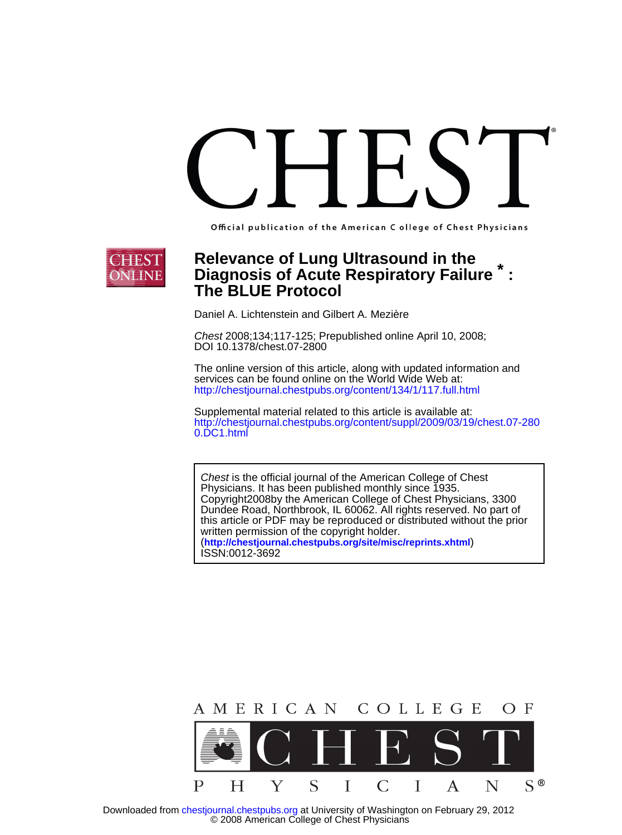Official publication of the American C ollege of Chest Physicians



# **The BLUE Protocol Relevance of Lung Ultrasound in the<br><b>Diagnosis of Acute Respiratory Failure**

Daniel A. Lichtenstein and Gilbert A. Mezière

DOI 10.1378/chest.07-2800 Chest 2008;134;117-125; Prepublished online April 10, 2008;

<http://chestjournal.chestpubs.org/content/134/1/117.full.html> services can be found online on the World Wide Web at: The online version of this article, along with updated information and

0.DC1.html http://chestjournal.chestpubs.org/content/suppl/2009/03/19/chest.07-280 Supplemental material related to this article is available at:

ISSN:0012-3692 (**<http://chestjournal.chestpubs.org/site/misc/reprints.xhtml>**) written permission of the copyright holder. this article or PDF may be reproduced or distributed without the prior Dundee Road, Northbrook, IL 60062. All rights reserved. No part of Copyright2008by the American College of Chest Physicians, 3300 Physicians. It has been published monthly since 1935. Chest is the official journal of the American College of Chest



 © 2008 American College of Chest Physicians Downloaded from [chestjournal.chestpubs.org](http://chestjournal.chestpubs.org/) at University of Washington on February 29, 2012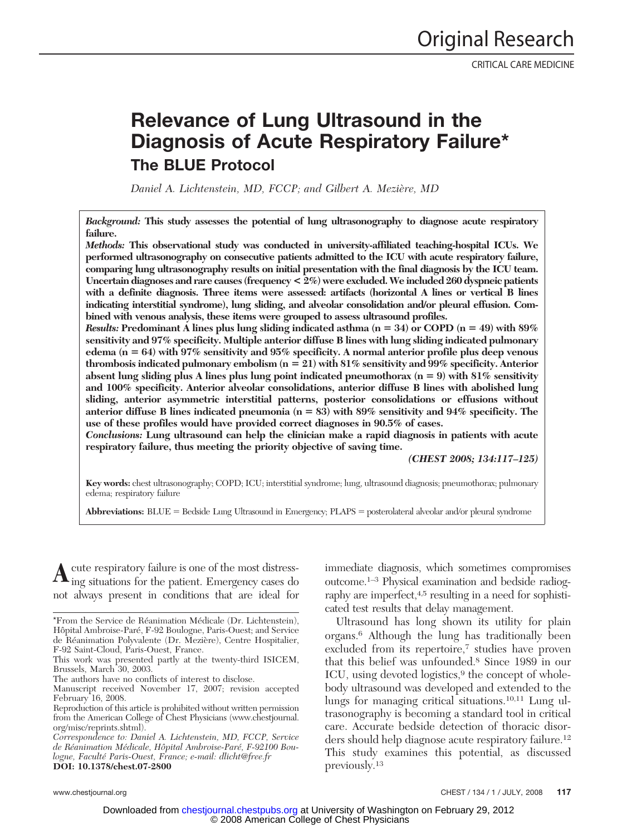# **Relevance of Lung Ultrasound in the Diagnosis of Acute Respiratory Failure\* The BLUE Protocol**

*Daniel A. Lichtenstein, MD, FCCP; and Gilbert A. Mezie`re, MD*

*Background:* **This study assesses the potential of lung ultrasonography to diagnose acute respiratory failure.**

*Methods:* **This observational study was conducted in university-affiliated teaching-hospital ICUs. We performed ultrasonography on consecutive patients admitted to the ICU with acute respiratory failure, comparing lung ultrasonography results on initial presentation with the final diagnosis by the ICU team. Uncertain diagnoses and rare causes (frequency < 2%) were excluded. We included 260 dyspneic patients with a definite diagnosis. Three items were assessed: artifacts (horizontal A lines or vertical B lines indicating interstitial syndrome), lung sliding, and alveolar consolidation and/or pleural effusion. Combined with venous analysis, these items were grouped to assess ultrasound profiles.**

*Results:* **Predominant A lines plus lung sliding indicated asthma (n 34) or COPD (n 49) with 89% sensitivity and 97% specificity. Multiple anterior diffuse B lines with lung sliding indicated pulmonary edema (n 64) with 97% sensitivity and 95% specificity. A normal anterior profile plus deep venous thrombosis indicated pulmonary embolism (n 21) with 81% sensitivity and 99% specificity. Anterior absent lung sliding plus A lines plus lung point indicated pneumothorax (n 9) with 81% sensitivity and 100% specificity. Anterior alveolar consolidations, anterior diffuse B lines with abolished lung sliding, anterior asymmetric interstitial patterns, posterior consolidations or effusions without anterior diffuse B lines indicated pneumonia (n 83) with 89% sensitivity and 94% specificity. The use of these profiles would have provided correct diagnoses in 90.5% of cases.**

*Conclusions:* **Lung ultrasound can help the clinician make a rapid diagnosis in patients with acute respiratory failure, thus meeting the priority objective of saving time.**

*(CHEST 2008; 134:117–125)*

**Key words:** chest ultrasonography; COPD; ICU; interstitial syndrome; lung, ultrasound diagnosis; pneumothorax; pulmonary edema; respiratory failure

**Abbreviations:** BLUE = Bedside Lung Ultrasound in Emergency; PLAPS = posterolateral alveolar and/or pleural syndrome

cute respiratory failure is one of the most distressing situations for the patient. Emergency cases do not always present in conditions that are ideal for

immediate diagnosis, which sometimes compromises outcome.1–3 Physical examination and bedside radiography are imperfect,<sup>4,5</sup> resulting in a need for sophisticated test results that delay management.

Ultrasound has long shown its utility for plain organs.6 Although the lung has traditionally been excluded from its repertoire,<sup>7</sup> studies have proven that this belief was unfounded.8 Since 1989 in our ICU, using devoted logistics,<sup>9</sup> the concept of wholebody ultrasound was developed and extended to the lungs for managing critical situations.10,11 Lung ultrasonography is becoming a standard tool in critical care. Accurate bedside detection of thoracic disorders should help diagnose acute respiratory failure.12 This study examines this potential, as discussed previously.13

<sup>\*</sup>From the Service de Réanimation Médicale (Dr. Lichtenstein), Hôpital Ambroise-Paré, F-92 Boulogne, Paris-Ouest; and Service de Réanimation Polyvalente (Dr. Mezière), Centre Hospitalier, F-92 Saint-Cloud, Paris-Ouest, France.

This work was presented partly at the twenty-third ISICEM, Brussels, March 30, 2003.

The authors have no conflicts of interest to disclose.

Manuscript received November 17, 2007; revision accepted February 16, 2008.

Reproduction of this article is prohibited without written permission from the American College of Chest Physicians (www.chestjournal. org/misc/reprints.shtml).

*Correspondence to: Daniel A. Lichtenstein, MD, FCCP, Service* de Réanimation Médicale, Hôpital Ambroise-Paré, F-92100 Bou*logne, Faculte´ Paris-Ouest, France; e-mail: dlicht@free.fr* **DOI: 10.1378/chest.07-2800**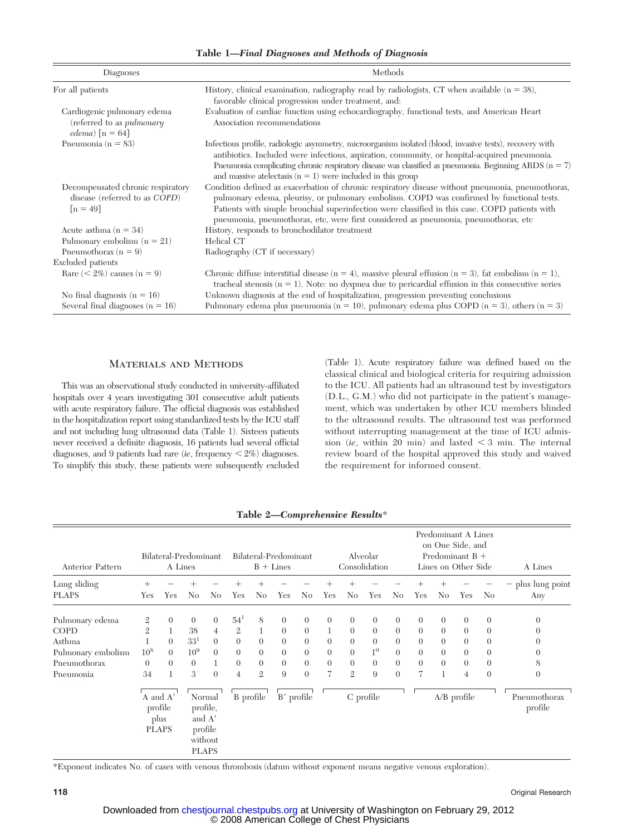**Table 1—***Final Diagnoses and Methods of Diagnosis*

| Diagnoses                                                                            | Methods                                                                                                                                                                                                                                                                                                                                                                                  |  |  |  |  |  |  |  |
|--------------------------------------------------------------------------------------|------------------------------------------------------------------------------------------------------------------------------------------------------------------------------------------------------------------------------------------------------------------------------------------------------------------------------------------------------------------------------------------|--|--|--|--|--|--|--|
| For all patients                                                                     | History, clinical examination, radiography read by radiologists, CT when available $(n = 38)$ ,<br>favorable clinical progression under treatment, and:                                                                                                                                                                                                                                  |  |  |  |  |  |  |  |
| Cardiogenic pulmonary edema<br>(referred to as <i>pulmonary</i><br>edema) $[n = 64]$ | Evaluation of cardiac function using echocardiography, functional tests, and American Heart<br>Association recommendations                                                                                                                                                                                                                                                               |  |  |  |  |  |  |  |
| Pneumonia ( $n = 83$ )                                                               | Infectious profile, radiologic asymmetry, microorganism isolated (blood, invasive tests), recovery with<br>antibiotics. Included were infectious, aspiration, community, or hospital-acquired pneumonia.<br>Pneumonia complicating chronic respiratory disease was classified as pneumonia. Beginning ARDS ( $n = 7$ )<br>and massive at electasis $(n = 1)$ were included in this group |  |  |  |  |  |  |  |
| Decompensated chronic respiratory<br>disease (referred to as COPD)<br>$[n = 49]$     | Condition defined as exacerbation of chronic respiratory disease without pneumonia, pneumothorax,<br>pulmonary edema, pleurisy, or pulmonary embolism. COPD was confirmed by functional tests.<br>Patients with simple bronchial superinfection were classified in this case. COPD patients with<br>pneumonia, pneumothorax, etc, were first considered as pneumonia, pneumothorax, etc  |  |  |  |  |  |  |  |
| Acute asthma $(n = 34)$                                                              | History, responds to bronchodilator treatment                                                                                                                                                                                                                                                                                                                                            |  |  |  |  |  |  |  |
| Pulmonary embolism $(n = 21)$                                                        | Helical CT                                                                                                                                                                                                                                                                                                                                                                               |  |  |  |  |  |  |  |
| Pneumothorax ( $n = 9$ )                                                             | Radiography (CT if necessary)                                                                                                                                                                                                                                                                                                                                                            |  |  |  |  |  |  |  |
| Excluded patients                                                                    |                                                                                                                                                                                                                                                                                                                                                                                          |  |  |  |  |  |  |  |
| Rare $(< 2\%)$ causes $(n = 9)$                                                      | Chronic diffuse interstitial disease ( $n = 4$ ), massive pleural effusion ( $n = 3$ ), fat embolism ( $n = 1$ ),<br>tracheal stenosis ( $n = 1$ ). Note: no dyspnea due to pericardial effusion in this consecutive series                                                                                                                                                              |  |  |  |  |  |  |  |
| No final diagnosis $(n = 16)$                                                        | Unknown diagnosis at the end of hospitalization, progression preventing conclusions                                                                                                                                                                                                                                                                                                      |  |  |  |  |  |  |  |
| Several final diagnoses ( $n = 16$ )                                                 | Pulmonary edema plus pneumonia ( $n = 10$ ), pulmonary edema plus COPD ( $n = 3$ ), others ( $n = 3$ )                                                                                                                                                                                                                                                                                   |  |  |  |  |  |  |  |

### Materials and Methods

This was an observational study conducted in university-affiliated hospitals over 4 years investigating 301 consecutive adult patients with acute respiratory failure. The official diagnosis was established in the hospitalization report using standardized tests by the ICU staff and not including lung ultrasound data (Table 1). Sixteen patients never received a definite diagnosis, 16 patients had several official diagnoses, and 9 patients had rare *(ie, frequency*  $\lt 2\%$ ) diagnoses. To simplify this study, these patients were subsequently excluded (Table 1). Acute respiratory failure was defined based on the classical clinical and biological criteria for requiring admission to the ICU. All patients had an ultrasound test by investigators (D.L., G.M.) who did not participate in the patient's management, which was undertaken by other ICU members blinded to the ultrasound results. The ultrasound test was performed without interrupting management at the time of ICU admis $s$ ion (*ie*, within 20 min) and lasted  $\lt$  3 min. The internal review board of the hospital approved this study and waived the requirement for informed consent.

| Anterior Pattern             | Bilateral-Predominant<br>A Lines                                                                                  |          |                         |                | Bilateral-Predominant<br>$B + Lines$ |                |          | Alveolar<br>Consolidation |          |                | Predominant A Lines<br>on One Side, and<br>Predominant $B +$<br>Lines on Other Side |                |                |                | A Lines        |                |                        |
|------------------------------|-------------------------------------------------------------------------------------------------------------------|----------|-------------------------|----------------|--------------------------------------|----------------|----------|---------------------------|----------|----------------|-------------------------------------------------------------------------------------|----------------|----------------|----------------|----------------|----------------|------------------------|
| Lung sliding<br><b>PLAPS</b> | Yes                                                                                                               | Yes      | N <sub>0</sub>          | No             | Yes                                  | No             | Yes      | N <sub>0</sub>            | Yes      | N <sub>0</sub> | Yes                                                                                 | No             | Yes            | $^+$<br>No.    | Yes            | No             | plus lung point<br>Any |
| Pulmonary edema              | $\mathbf{2}$                                                                                                      | $\Omega$ | $\overline{0}$          | $\theta$       | $54^1$                               | 8              | $\theta$ | $\theta$                  | $\theta$ | $\overline{0}$ | $\theta$                                                                            | $\theta$       | $\overline{0}$ | $\overline{0}$ | $\theta$       | $\theta$       | $\theta$               |
| <b>COPD</b>                  | $\mathfrak{2}$                                                                                                    |          | 38                      | $\overline{4}$ | $\mathbf{2}$                         | $\mathbf{1}$   | $\theta$ | $\theta$                  | 1        | $\theta$       | $\theta$                                                                            | $\overline{0}$ | $\overline{0}$ | $\theta$       | $\theta$       | $\theta$       | $\Omega$               |
| Asthma                       |                                                                                                                   | $\Omega$ | 33 <sup>1</sup>         | $\theta$       | $\overline{0}$                       | $\Omega$       | $\theta$ | $\theta$                  | $\theta$ | $\overline{0}$ | $\overline{0}$                                                                      | $\overline{0}$ | $\overline{0}$ | $\overline{0}$ | $\Omega$       | $\overline{0}$ |                        |
| Pulmonary embolism           | 10 <sup>8</sup>                                                                                                   | $\Omega$ | 10 <sup>9</sup>         | $\overline{0}$ | $\overline{0}$                       | $\overline{0}$ | $\theta$ | $\theta$                  | $\theta$ | $\overline{0}$ | $1^{\rm o}$                                                                         | $\theta$       | $\overline{0}$ | $\overline{0}$ | $\theta$       | $\theta$       | 0                      |
| Pneumothorax                 | $\theta$                                                                                                          | $\Omega$ | $\overline{0}$          |                | $\overline{0}$                       | $\overline{0}$ | $\theta$ | $\theta$                  | $\theta$ | $\Omega$       | $\overline{0}$                                                                      | $\overline{0}$ | $\theta$       | $\overline{0}$ | $\Omega$       | $\overline{0}$ | 8                      |
| Pneumonia                    | 34                                                                                                                |          | 3                       | $\theta$       | 4                                    | $\mathfrak{2}$ | 9        | $\Omega$                  | 7        | $\mathfrak{2}$ | 9                                                                                   | $\theta$       | 7              | $\mathbf{1}$   | $\overline{4}$ | $\theta$       | $\theta$               |
|                              | A and A'<br>Normal<br>profile<br>profile,<br>and A'<br>plus<br>profile<br><b>PLAPS</b><br>without<br><b>PLAPS</b> |          | B' profile<br>B profile |                | C profile                            |                |          | A/B profile               |          |                | Pneumothorax<br>profile                                                             |                |                |                |                |                |                        |

**Table 2—***Comprehensive Results*\*

\*Exponent indicates No. of cases with venous thrombosis (datum without exponent means negative venous exploration).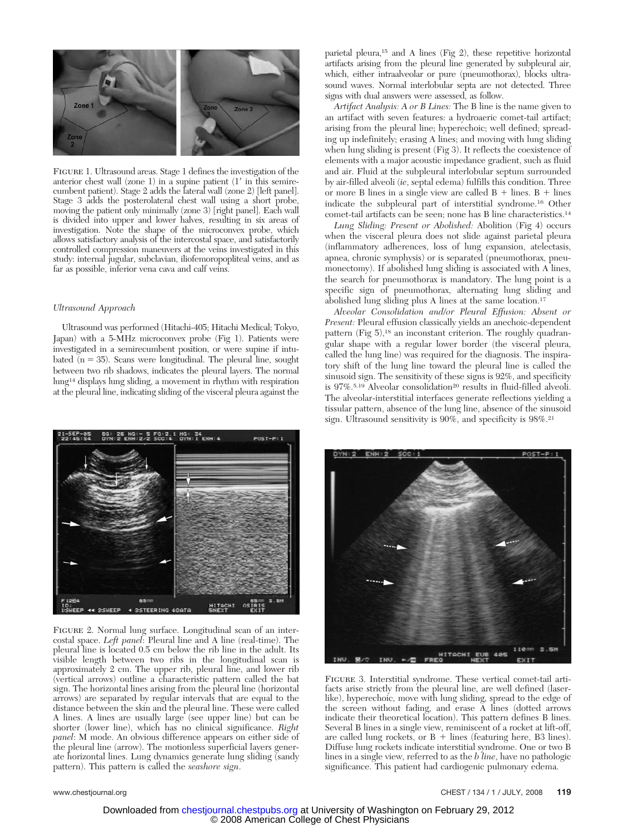

Figure 1. Ultrasound areas. Stage 1 defines the investigation of the anterior chest wall (zone 1) in a supine patient  $(1'$  in this semirecumbent patient). Stage 2 adds the lateral wall (zone 2) [left panel]. Stage 3 adds the posterolateral chest wall using a short probe, moving the patient only minimally (zone 3) [right panel]. Each wall is divided into upper and lower halves, resulting in six areas of investigation. Note the shape of the microconvex probe, which allows satisfactory analysis of the intercostal space, and satisfactorily controlled compression maneuvers at the veins investigated in this study: internal jugular, subclavian, iliofemoropopliteal veins, and as far as possible, inferior vena cava and calf veins.

#### *Ultrasound Approach*

Ultrasound was performed (Hitachi-405; Hitachi Medical; Tokyo, Japan) with a 5-MHz microconvex probe (Fig 1). Patients were investigated in a semirecumbent position, or were supine if intubated  $(n = 35)$ . Scans were longitudinal. The pleural line, sought between two rib shadows, indicates the pleural layers. The normal lung14 displays lung sliding, a movement in rhythm with respiration at the pleural line, indicating sliding of the visceral pleura against the



FIGURE 2. Normal lung surface. Longitudinal scan of an intercostal space. *Left panel*: Pleural line and A line (real-time). The pleural line is located 0.5 cm below the rib line in the adult. Its visible length between two ribs in the longitudinal scan is approximately 2 cm. The upper rib, pleural line, and lower rib (vertical arrows) outline a characteristic pattern called the bat sign. The horizontal lines arising from the pleural line (horizontal arrows) are separated by regular intervals that are equal to the distance between the skin and the pleural line. These were called A lines. A lines are usually large (see upper line) but can be shorter (lower line), which has no clinical significance. *Right panel*: M mode. An obvious difference appears on either side of the pleural line (arrow). The motionless superficial layers generate horizontal lines. Lung dynamics generate lung sliding (sandy pattern). This pattern is called the *seashore sign*.

parietal pleura,15 and A lines (Fig 2), these repetitive horizontal artifacts arising from the pleural line generated by subpleural air, which, either intraalveolar or pure (pneumothorax), blocks ultrasound waves. Normal interlobular septa are not detected. Three signs with dual answers were assessed, as follow.

*Artifact Analysis: A or B Lines:* The B line is the name given to an artifact with seven features: a hydroaeric comet-tail artifact; arising from the pleural line; hyperechoic; well defined; spreading up indefinitely; erasing A lines; and moving with lung sliding when lung sliding is present (Fig 3). It reflects the coexistence of elements with a major acoustic impedance gradient, such as fluid and air. Fluid at the subpleural interlobular septum surrounded by air-filled alveoli (*ie*, septal edema) fulfills this condition. Three or more B lines in a single view are called  $B +$  lines.  $B +$  lines indicate the subpleural part of interstitial syndrome.16 Other comet-tail artifacts can be seen; none has B line characteristics.14

*Lung Sliding: Present or Abolished:* Abolition (Fig 4) occurs when the visceral pleura does not slide against parietal pleura (inflammatory adherences, loss of lung expansion, atelectasis, apnea, chronic symphysis) or is separated (pneumothorax, pneumonectomy). If abolished lung sliding is associated with A lines, the search for pneumothorax is mandatory. The lung point is a specific sign of pneumothorax, alternating lung sliding and abolished lung sliding plus A lines at the same location.17

*Alveolar Consolidation and/or Pleural Effusion: Absent or Present:* Pleural effusion classically yields an anechoic-dependent pattern  $(Fig 5)$ ,<sup>18</sup> an inconstant criterion. The roughly quadrangular shape with a regular lower border (the visceral pleura, called the lung line) was required for the diagnosis. The inspiratory shift of the lung line toward the pleural line is called the sinusoid sign. The sensitivity of these signs is 92%, and specificity is  $97\%$ .<sup>5,19</sup> Alveolar consolidation<sup>20</sup> results in fluid-filled alveoli. The alveolar-interstitial interfaces generate reflections yielding a tissular pattern, absence of the lung line, absence of the sinusoid sign. Ultrasound sensitivity is 90%, and specificity is 98%.<sup>21</sup>



Figure 3. Interstitial syndrome. These vertical comet-tail artifacts arise strictly from the pleural line, are well defined (laserlike), hyperechoic, move with lung sliding, spread to the edge of the screen without fading, and erase A lines (dotted arrows indicate their theoretical location). This pattern defines B lines. Several B lines in a single view, reminiscent of a rocket at lift-off, are called lung rockets, or  $B +$  lines (featuring here, B3 lines). Diffuse lung rockets indicate interstitial syndrome. One or two B lines in a single view, referred to as the *b line*, have no pathologic significance. This patient had cardiogenic pulmonary edema.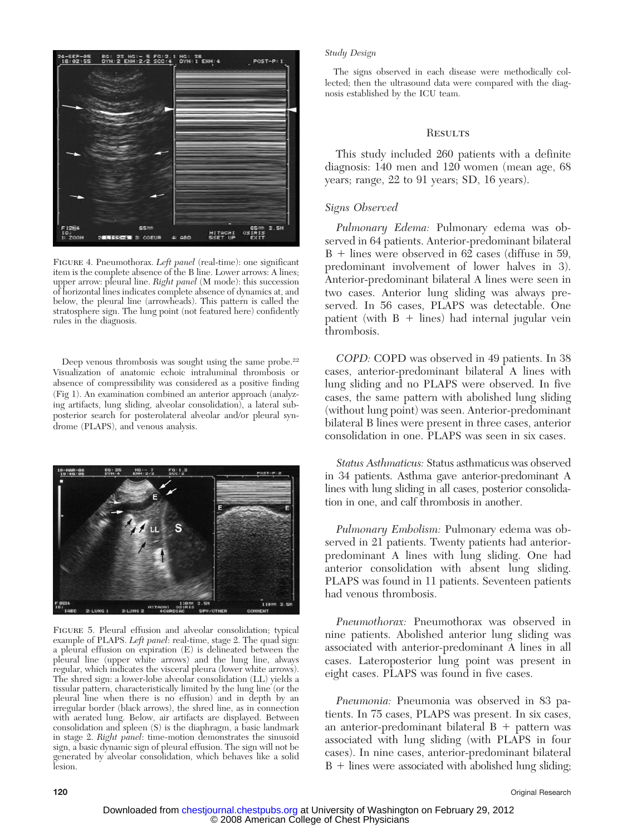

FIGURE 4. Pneumothorax. Left panel (real-time): one significant item is the complete absence of the B line. Lower arrows: A lines; upper arrow: pleural line. *Right panel* (M mode): this succession of horizontal lines indicates complete absence of dynamics at, and below, the pleural line (arrowheads). This pattern is called the stratosphere sign. The lung point (not featured here) confidently rules in the diagnosis.

Deep venous thrombosis was sought using the same probe.<sup>22</sup> Visualization of anatomic echoic intraluminal thrombosis or absence of compressibility was considered as a positive finding (Fig 1). An examination combined an anterior approach (analyzing artifacts, lung sliding, alveolar consolidation), a lateral subposterior search for posterolateral alveolar and/or pleural syndrome (PLAPS), and venous analysis.



FIGURE 5. Pleural effusion and alveolar consolidation; typical example of PLAPS. Left panel: real-time, stage 2. The quad sign: a pleural effusion on expiration (E) is delineated between the pleural line (upper white arrows) and the lung line, always regular, which indicates the visceral pleura (lower white arrows). The shred sign: a lower-lobe alveolar consolidation (LL) yields a tissular pattern, characteristically limited by the lung line (or the pleural line when there is no effusion) and in depth by an irregular border (black arrows), the shred line, as in connection with aerated lung. Below, air artifacts are displayed. Between consolidation and spleen (S) is the diaphragm, a basic landmark in stage 2. *Right panel*: time-motion demonstrates the sinusoid sign, a basic dynamic sign of pleural effusion. The sign will not be generated by alveolar consolidation, which behaves like a solid lesion.

#### *Study Design*

The signs observed in each disease were methodically collected; then the ultrasound data were compared with the diagnosis established by the ICU team.

#### **RESULTS**

This study included 260 patients with a definite diagnosis: 140 men and 120 women (mean age, 68 years; range, 22 to 91 years; SD, 16 years).

#### *Signs Observed*

*Pulmonary Edema:* Pulmonary edema was observed in 64 patients. Anterior-predominant bilateral  $B +$  lines were observed in 62 cases (diffuse in 59, predominant involvement of lower halves in 3). Anterior-predominant bilateral A lines were seen in two cases. Anterior lung sliding was always preserved. In 56 cases, PLAPS was detectable. One patient (with  $B +$  lines) had internal jugular vein thrombosis.

*COPD:* COPD was observed in 49 patients. In 38 cases, anterior-predominant bilateral A lines with lung sliding and no PLAPS were observed. In five cases, the same pattern with abolished lung sliding (without lung point) was seen. Anterior-predominant bilateral B lines were present in three cases, anterior consolidation in one. PLAPS was seen in six cases.

*Status Asthmaticus:* Status asthmaticus was observed in 34 patients. Asthma gave anterior-predominant A lines with lung sliding in all cases, posterior consolidation in one, and calf thrombosis in another.

*Pulmonary Embolism:* Pulmonary edema was observed in 21 patients. Twenty patients had anteriorpredominant A lines with lung sliding. One had anterior consolidation with absent lung sliding. PLAPS was found in 11 patients. Seventeen patients had venous thrombosis.

*Pneumothorax:* Pneumothorax was observed in nine patients. Abolished anterior lung sliding was associated with anterior-predominant A lines in all cases. Lateroposterior lung point was present in eight cases. PLAPS was found in five cases.

*Pneumonia:* Pneumonia was observed in 83 patients. In 75 cases, PLAPS was present. In six cases, an anterior-predominant bilateral  $B +$  pattern was associated with lung sliding (with PLAPS in four cases). In nine cases, anterior-predominant bilateral  $B +$  lines were associated with abolished lung sliding;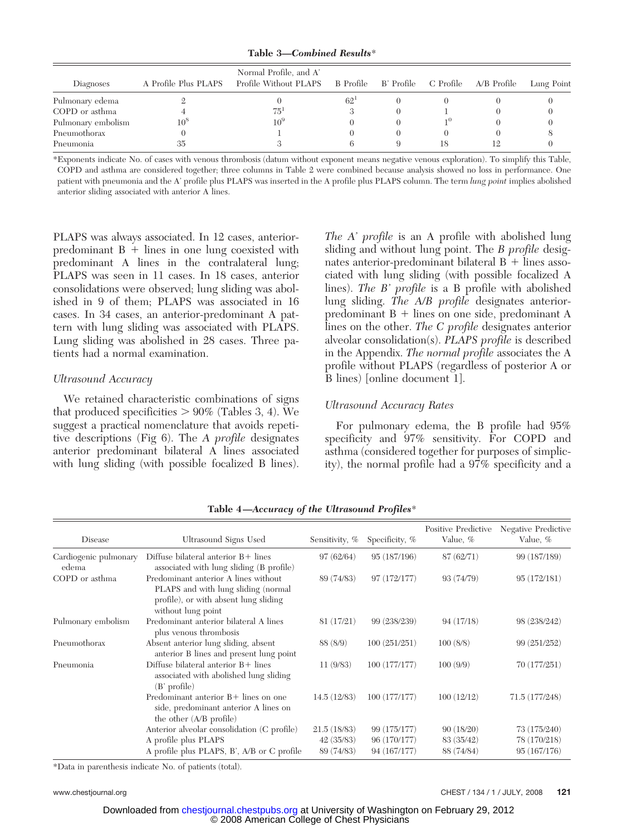**Table 3—***Combined Results*\*

| Diagnoses          | A Profile Plus PLAPS | Normal Profile, and A'<br>Profile Without PLAPS |          |    | B Profile B' Profile C Profile A/B Profile | Lung Point |
|--------------------|----------------------|-------------------------------------------------|----------|----|--------------------------------------------|------------|
| Pulmonary edema    |                      |                                                 | $62^{1}$ |    |                                            |            |
| COPD or asthma     |                      | 75'                                             |          |    |                                            |            |
| Pulmonary embolism | 10 <sup>5</sup>      | 10 <sup>5</sup>                                 |          |    |                                            |            |
| Pneumothorax       |                      |                                                 |          |    |                                            |            |
| Pneumonia          | 35                   |                                                 |          | 18 |                                            |            |

\*Exponents indicate No. of cases with venous thrombosis (datum without exponent means negative venous exploration). To simplify this Table, COPD and asthma are considered together; three columns in Table 2 were combined because analysis showed no loss in performance. One patient with pneumonia and the A' profile plus PLAPS was inserted in the A profile plus PLAPS column. The term *lung point* implies abolished anterior sliding associated with anterior A lines.

PLAPS was always associated. In 12 cases, anteriorpredominant  $B +$  lines in one lung coexisted with predominant A lines in the contralateral lung; PLAPS was seen in 11 cases. In 18 cases, anterior consolidations were observed; lung sliding was abolished in 9 of them; PLAPS was associated in 16 cases. In 34 cases, an anterior-predominant A pattern with lung sliding was associated with PLAPS. Lung sliding was abolished in 28 cases. Three patients had a normal examination.

# *Ultrasound Accuracy*

We retained characteristic combinations of signs that produced specificities  $> 90\%$  (Tables 3, 4). We suggest a practical nomenclature that avoids repetitive descriptions (Fig 6). The *A profile* designates anterior predominant bilateral A lines associated with lung sliding (with possible focalized B lines).

*The A' profile* is an A profile with abolished lung sliding and without lung point. The *B profile* designates anterior-predominant bilateral  $B +$  lines associated with lung sliding (with possible focalized A lines). *The B' profile* is a B profile with abolished lung sliding. *The A/B profile* designates anteriorpredominant  $B +$  lines on one side, predominant A lines on the other. *The C profile* designates anterior alveolar consolidation(s). *PLAPS profile* is described in the Appendix. *The normal profile* associates the A profile without PLAPS (regardless of posterior A or B lines) [online document 1].

# *Ultrasound Accuracy Rates*

For pulmonary edema, the B profile had 95% specificity and 97% sensitivity. For COPD and asthma (considered together for purposes of simplicity), the normal profile had a 97% specificity and a

| Disease                        | Ultrasound Signs Used                                                                                                                      | Sensitivity, % | Specificity, % | Positive Predictive<br>Value, % | Negative Predictive<br>Value, % |
|--------------------------------|--------------------------------------------------------------------------------------------------------------------------------------------|----------------|----------------|---------------------------------|---------------------------------|
| Cardiogenic pulmonary<br>edema | Diffuse bilateral anterior $B+$ lines<br>associated with lung sliding (B profile)                                                          | 97(62/64)      | 95 (187/196)   | 87(62/71)                       | 99 (187/189)                    |
| COPD or asthma                 | Predominant anterior A lines without<br>PLAPS and with lung sliding (normal<br>profile), or with absent lung sliding<br>without lung point | 89 (74/83)     | 97 (172/177)   | 93 (74/79)                      | 95(172/181)                     |
| Pulmonary embolism             | Predominant anterior bilateral A lines<br>plus venous thrombosis                                                                           | 81 (17/21)     | 99 (238/239)   | 94(17/18)                       | 98 (238/242)                    |
| Pneumothorax                   | Absent anterior lung sliding, absent<br>anterior B lines and present lung point                                                            | 88 (8/9)       | 100(251/251)   | 100(8/8)                        | 99 (251/252)                    |
| Pneumonia                      | Diffuse bilateral anterior $B+$ lines<br>associated with abolished lung sliding<br>$(B'$ profile)                                          | 11(9/83)       | 100 (177/177)  | 100(9/9)                        | 70 (177/251)                    |
|                                | Predominant anterior $B+$ lines on one<br>side, predominant anterior A lines on<br>the other (A/B profile)                                 | 14.5(12/83)    | 100 (177/177)  | 100(12/12)                      | 71.5 (177/248)                  |
|                                | Anterior alveolar consolidation (C profile)                                                                                                | 21.5(18/83)    | 99 (175/177)   | 90(18/20)                       | 73 (175/240)                    |
|                                | A profile plus PLAPS                                                                                                                       | 42(35/83)      | 96 (170/177)   | 83 (35/42)                      | 78 (170/218)                    |
|                                | A profile plus PLAPS, B', A/B or C profile                                                                                                 | 89 (74/83)     | 94 (167/177)   | 88 (74/84)                      | 95(167/176)                     |

**Table 4—***Accuracy of the Ultrasound Profiles*\*

\*Data in parenthesis indicate No. of patients (total).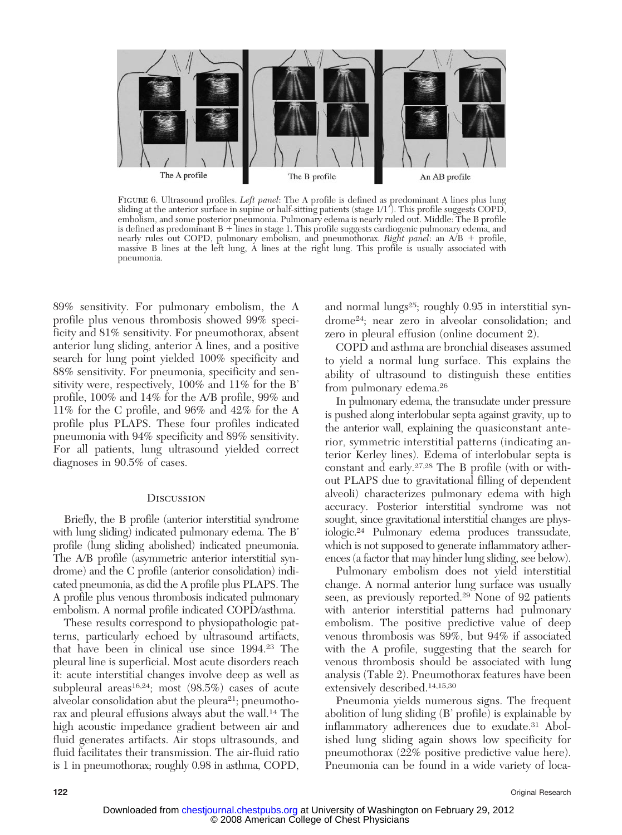

Figure 6. Ultrasound profiles. *Left panel*: The A profile is defined as predominant A lines plus lung sliding at the anterior surface in supine or half-sitting patients (stage 1/1). This profile suggests COPD, embolism, and some posterior pneumonia. Pulmonary edema is nearly ruled out. Middle: The B profile is defined as predominant  $B +$  lines in stage 1. This profile suggests cardiogenic pulmonary edema, and nearly rules out COPD, pulmonary embolism, and pneumothorax. *Right panel*: an A/B + profile, massive B lines at the left lung, A lines at the right lung. This profile is usually associated with pneumonia.

89% sensitivity. For pulmonary embolism, the A profile plus venous thrombosis showed 99% specificity and 81% sensitivity. For pneumothorax, absent anterior lung sliding, anterior A lines, and a positive search for lung point yielded 100% specificity and 88% sensitivity. For pneumonia, specificity and sensitivity were, respectively, 100% and 11% for the B' profile, 100% and 14% for the A/B profile, 99% and 11% for the C profile, and 96% and 42% for the A profile plus PLAPS. These four profiles indicated pneumonia with 94% specificity and 89% sensitivity. For all patients, lung ultrasound yielded correct diagnoses in 90.5% of cases.

#### **DISCUSSION**

Briefly, the B profile (anterior interstitial syndrome with lung sliding) indicated pulmonary edema. The B' profile (lung sliding abolished) indicated pneumonia. The A/B profile (asymmetric anterior interstitial syndrome) and the C profile (anterior consolidation) indicated pneumonia, as did the A profile plus PLAPS. The A profile plus venous thrombosis indicated pulmonary embolism. A normal profile indicated COPD/asthma.

These results correspond to physiopathologic patterns, particularly echoed by ultrasound artifacts, that have been in clinical use since 1994.23 The pleural line is superficial. Most acute disorders reach it: acute interstitial changes involve deep as well as subpleural areas<sup>16,24</sup>; most  $(98.5\%)$  cases of acute alveolar consolidation abut the pleura<sup>21</sup>; pneumothorax and pleural effusions always abut the wall.14 The high acoustic impedance gradient between air and fluid generates artifacts. Air stops ultrasounds, and fluid facilitates their transmission. The air-fluid ratio is 1 in pneumothorax; roughly 0.98 in asthma, COPD, and normal lungs<sup>25</sup>; roughly 0.95 in interstitial syndrome24; near zero in alveolar consolidation; and zero in pleural effusion (online document 2).

COPD and asthma are bronchial diseases assumed to yield a normal lung surface. This explains the ability of ultrasound to distinguish these entities from pulmonary edema.26

In pulmonary edema, the transudate under pressure is pushed along interlobular septa against gravity, up to the anterior wall, explaining the quasiconstant anterior, symmetric interstitial patterns (indicating anterior Kerley lines). Edema of interlobular septa is constant and early.27,28 The B profile (with or without PLAPS due to gravitational filling of dependent alveoli) characterizes pulmonary edema with high accuracy. Posterior interstitial syndrome was not sought, since gravitational interstitial changes are physiologic.24 Pulmonary edema produces transsudate, which is not supposed to generate inflammatory adherences (a factor that may hinder lung sliding, see below).

Pulmonary embolism does not yield interstitial change. A normal anterior lung surface was usually seen, as previously reported.29 None of 92 patients with anterior interstitial patterns had pulmonary embolism. The positive predictive value of deep venous thrombosis was 89%, but 94% if associated with the A profile, suggesting that the search for venous thrombosis should be associated with lung analysis (Table 2). Pneumothorax features have been extensively described.14,15,30

Pneumonia yields numerous signs. The frequent abolition of lung sliding (B' profile) is explainable by inflammatory adherences due to exudate.31 Abolished lung sliding again shows low specificity for pneumothorax (22% positive predictive value here). Pneumonia can be found in a wide variety of loca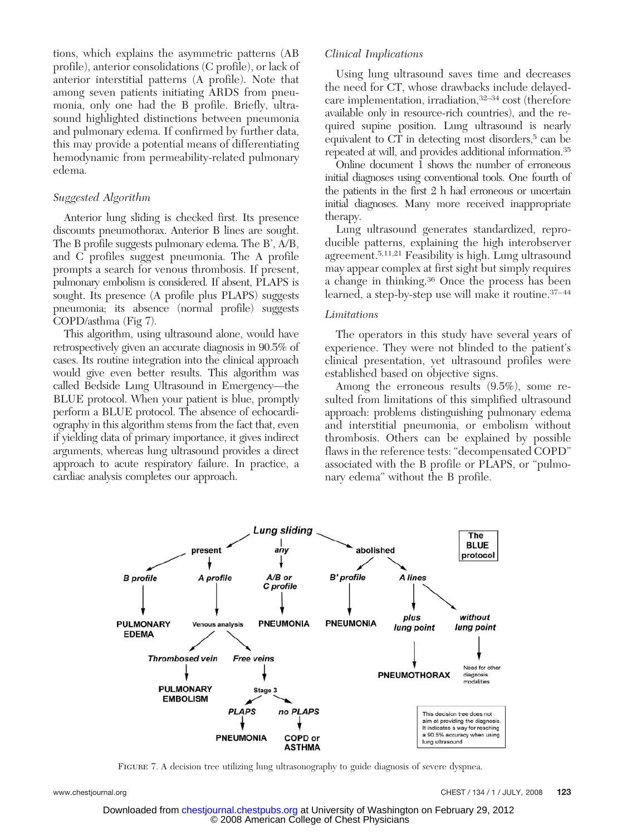tions, which explains the asymmetric patterns (AB profile), anterior consolidations (C profile), or lack of anterior interstitial patterns (A profile). Note that among seven patients initiating ARDS from pneumonia, only one had the B profile. Briefly, ultrasound highlighted distinctions between pneumonia and pulmonary edema. If confirmed by further data, this may provide a potential means of differentiating hemodynamic from permeability-related pulmonary edema.

# *Suggested Algorithm*

Anterior lung sliding is checked first. Its presence discounts pneumothorax. Anterior B lines are sought. The B profile suggests pulmonary edema. The B', A/B, and C profiles suggest pneumonia. The A profile prompts a search for venous thrombosis. If present, pulmonary embolism is considered. If absent, PLAPS is sought. Its presence (A profile plus PLAPS) suggests pneumonia; its absence (normal profile) suggests COPD/asthma (Fig 7).

This algorithm, using ultrasound alone, would have retrospectively given an accurate diagnosis in 90.5% of cases. Its routine integration into the clinical approach would give even better results. This algorithm was called Bedside Lung Ultrasound in Emergency—the BLUE protocol. When your patient is blue, promptly perform a BLUE protocol. The absence of echocardiography in this algorithm stems from the fact that, even if yielding data of primary importance, it gives indirect arguments, whereas lung ultrasound provides a direct approach to acute respiratory failure. In practice, a cardiac analysis completes our approach.

# *Clinical Implications*

Using lung ultrasound saves time and decreases the need for CT, whose drawbacks include delayedcare implementation, irradiation,32–34 cost (therefore available only in resource-rich countries), and the required supine position. Lung ultrasound is nearly equivalent to CT in detecting most disorders,<sup>5</sup> can be repeated at will, and provides additional information.35

Online document 1 shows the number of erroneous initial diagnoses using conventional tools. One fourth of the patients in the first 2 h had erroneous or uncertain initial diagnoses. Many more received inappropriate therapy.

Lung ultrasound generates standardized, reproducible patterns, explaining the high interobserver agreement.5,11,21 Feasibility is high. Lung ultrasound may appear complex at first sight but simply requires a change in thinking.36 Once the process has been learned, a step-by-step use will make it routine. 37-44

#### *Limitations*

The operators in this study have several years of experience. They were not blinded to the patient's clinical presentation, yet ultrasound profiles were established based on objective signs.

Among the erroneous results (9.5%), some resulted from limitations of this simplified ultrasound approach: problems distinguishing pulmonary edema and interstitial pneumonia, or embolism without thrombosis. Others can be explained by possible flaws in the reference tests: "decompensated COPD" associated with the B profile or PLAPS, or "pulmonary edema" without the B profile.



FIGURE 7. A decision tree utilizing lung ultrasonography to guide diagnosis of severe dyspnea.

 © 2008 American College of Chest Physicians Downloaded from [chestjournal.chestpubs.org](http://chestjournal.chestpubs.org/) at University of Washington on February 29, 2012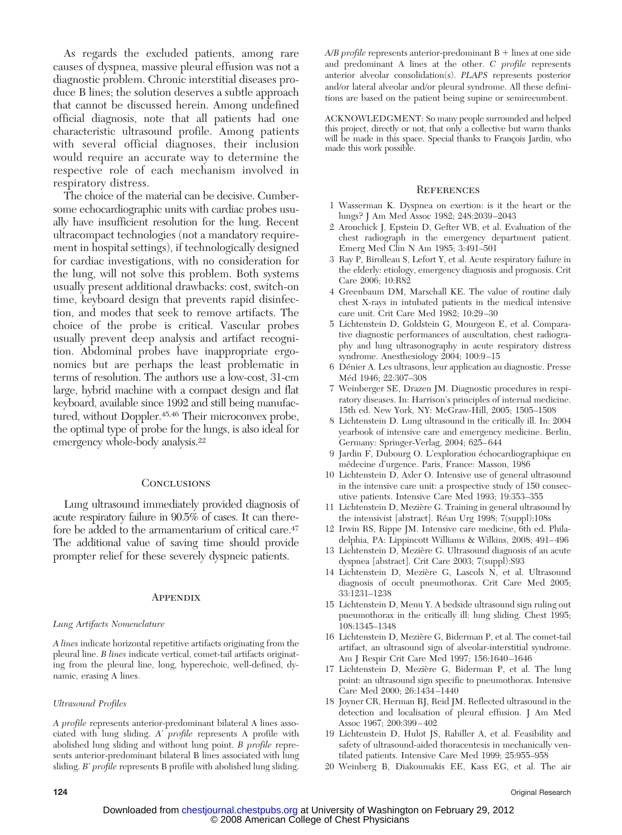As regards the excluded patients, among rare causes of dyspnea, massive pleural effusion was not a diagnostic problem. Chronic interstitial diseases produce B lines; the solution deserves a subtle approach that cannot be discussed herein. Among undefined official diagnosis, note that all patients had one characteristic ultrasound profile. Among patients with several official diagnoses, their inclusion would require an accurate way to determine the respective role of each mechanism involved in respiratory distress.

The choice of the material can be decisive. Cumbersome echocardiographic units with cardiac probes usually have insufficient resolution for the lung. Recent ultracompact technologies (not a mandatory requirement in hospital settings), if technologically designed for cardiac investigations, with no consideration for the lung, will not solve this problem. Both systems usually present additional drawbacks: cost, switch-on time, keyboard design that prevents rapid disinfection, and modes that seek to remove artifacts. The choice of the probe is critical. Vascular probes usually prevent deep analysis and artifact recognition. Abdominal probes have inappropriate ergonomics but are perhaps the least problematic in terms of resolution. The authors use a low-cost, 31-cm large, hybrid machine with a compact design and flat keyboard, available since 1992 and still being manufactured, without Doppler.<sup>45,46</sup> Their microconvex probe, the optimal type of probe for the lungs, is also ideal for emergency whole-body analysis.<sup>22</sup>

#### **CONCLUSIONS**

Lung ultrasound immediately provided diagnosis of acute respiratory failure in 90.5% of cases. It can therefore be added to the armamentarium of critical care.47 The additional value of saving time should provide prompter relief for these severely dyspneic patients.

#### **APPENDIX**

#### *Lung Artifacts Nomenclature*

*A lines* indicate horizontal repetitive artifacts originating from the pleural line. *B lines* indicate vertical, comet-tail artifacts originating from the pleural line, long, hyperechoic, well-defined, dynamic, erasing A lines.

#### *Ultrasound Profiles*

*A profile* represents anterior-predominant bilateral A lines associated with lung sliding. *A' profile* represents A profile with abolished lung sliding and without lung point. *B profile* represents anterior-predominant bilateral B lines associated with lung sliding. *B' profile* represents B profile with abolished lung sliding.

 $A/B$  profile represents anterior-predominant  $B +$  lines at one side and predominant A lines at the other. *C profile* represents anterior alveolar consolidation(s). *PLAPS* represents posterior and/or lateral alveolar and/or pleural syndrome. All these definitions are based on the patient being supine or semirecumbent.

ACKNOWLEDGMENT: So many people surrounded and helped this project, directly or not, that only a collective but warm thanks will be made in this space. Special thanks to François Jardin, who made this work possible.

#### **REFERENCES**

- 1 Wasserman K. Dyspnea on exertion: is it the heart or the lungs? J Am Med Assoc 1982; 248:2039 –2043
- 2 Aronchick J, Epstein D, Gefter WB, et al. Evaluation of the chest radiograph in the emergency department patient. Emerg Med Clin N Am 1985; 3:491–501
- 3 Ray P, Birolleau S, Lefort Y, et al. Acute respiratory failure in the elderly: etiology, emergency diagnosis and prognosis. Crit Care 2006; 10:R82
- 4 Greenbaum DM, Marschall KE. The value of routine daily chest X-rays in intubated patients in the medical intensive care unit. Crit Care Med 1982; 10:29 –30
- 5 Lichtenstein D, Goldstein G, Mourgeon E, et al. Comparative diagnostic performances of auscultation, chest radiography and lung ultrasonography in acute respiratory distress syndrome. Anesthesiology 2004; 100:9-15
- 6 Dénier A. Les ultrasons, leur application au diagnostic. Presse Méd 1946; 22:307-308
- 7 Weinberger SE, Drazen JM. Diagnostic procedures in respiratory diseases. In: Harrison's principles of internal medicine. 15th ed. New York, NY: McGraw-Hill, 2005; 1505–1508
- 8 Lichtenstein D. Lung ultrasound in the critically ill. In: 2004 yearbook of intensive care and emergency medicine. Berlin, Germany: Springer-Verlag, 2004; 625– 644
- 9 Jardin F, Dubourg O. L'exploration échocardiographique en médecine d'urgence. Paris, France: Masson, 1986
- 10 Lichtenstein D, Axler O. Intensive use of general ultrasound in the intensive care unit: a prospective study of 150 consecutive patients. Intensive Care Med 1993; 19:353–355
- 11 Lichtenstein D, Mezière G. Training in general ultrasound by the intensivist [abstract]. Réan Urg 1998; 7(suppl):108s
- 12 Irwin RS, Rippe JM. Intensive care medicine, 6th ed. Philadelphia, PA: Lippincott Williams & Wilkins, 2008; 491– 496
- 13 Lichtenstein D, Mezière G. Ultrasound diagnosis of an acute dyspnea [abstract]. Crit Care 2003; 7(suppl):S93
- 14 Lichtenstein D, Mezière G, Lascols N, et al. Ultrasound diagnosis of occult pneumothorax. Crit Care Med 2005; 33:1231–1238
- 15 Lichtenstein D, Menu Y. A bedside ultrasound sign ruling out pneumothorax in the critically ill: lung sliding. Chest 1995; 108:1345–1348
- 16 Lichtenstein D, Mezière G, Biderman P, et al. The comet-tail artifact, an ultrasound sign of alveolar-interstitial syndrome. Am J Respir Crit Care Med 1997; 156:1640 –1646
- 17 Lichtenstein D, Mezière G, Biderman P, et al. The lung point: an ultrasound sign specific to pneumothorax. Intensive Care Med 2000; 26:1434 –1440
- 18 Joyner CR, Herman RJ, Reid JM. Reflected ultrasound in the detection and localisation of pleural effusion. J Am Med Assoc 1967; 200:399 – 402
- 19 Lichtenstein D, Hulot JS, Rabiller A, et al. Feasibility and safety of ultrasound-aided thoracentesis in mechanically ventilated patients. Intensive Care Med 1999; 25:955–958
- 20 Weinberg B, Diakoumakis EE, Kass EG, et al. The air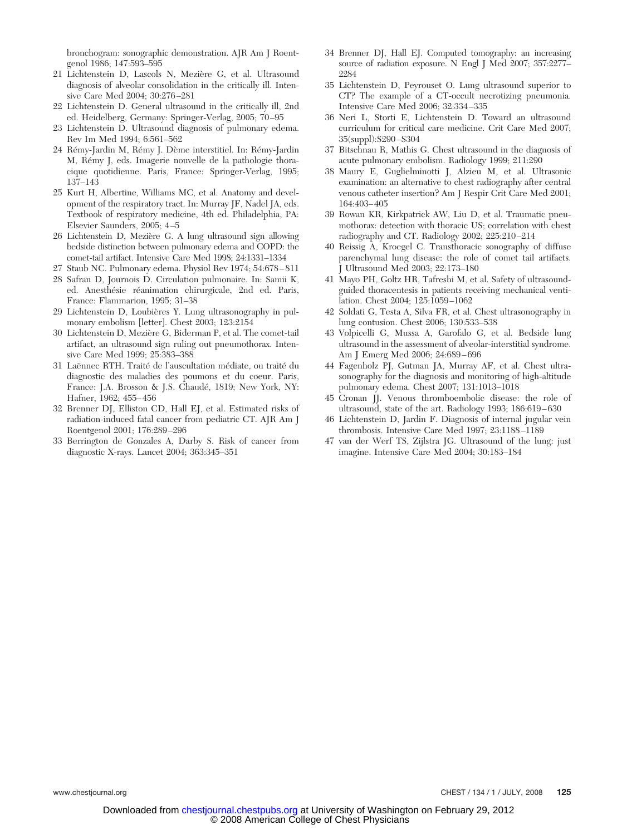bronchogram: sonographic demonstration. AJR Am J Roentgenol 1986; 147:593–595

- 21 Lichtenstein D, Lascols N, Mezière G, et al. Ultrasound diagnosis of alveolar consolidation in the critically ill. Intensive Care Med 2004; 30:276 –281
- 22 Lichtenstein D. General ultrasound in the critically ill, 2nd ed. Heidelberg, Germany: Springer-Verlag, 2005; 70 –95
- 23 Lichtenstein D. Ultrasound diagnosis of pulmonary edema. Rev Im Med 1994; 6:561–562
- 24 Rémy-Jardin M, Rémy J. Dème interstitiel. In: Rémy-Jardin M, Rémy J, eds. Imagerie nouvelle de la pathologie thoracique quotidienne. Paris, France: Springer-Verlag, 1995; 137–143
- 25 Kurt H, Albertine, Williams MC, et al. Anatomy and development of the respiratory tract. In: Murray JF, Nadel JA, eds. Textbook of respiratory medicine, 4th ed. Philadelphia, PA: Elsevier Saunders, 2005; 4 –5
- 26 Lichtenstein D, Mezière G. A lung ultrasound sign allowing bedside distinction between pulmonary edema and COPD: the comet-tail artifact. Intensive Care Med 1998; 24:1331–1334
- 27 Staub NC. Pulmonary edema. Physiol Rev 1974; 54:678 811
- 28 Safran D, Journois D. Circulation pulmonaire. In: Samii K, ed. Anesthésie réanimation chirurgicale, 2nd ed. Paris, France: Flammarion, 1995; 31–38
- 29 Lichtenstein D, Loubières Y. Lung ultrasonography in pulmonary embolism [letter]. Chest 2003; 123:2154
- 30 Lichtenstein D, Mezière G, Biderman P, et al. The comet-tail artifact, an ultrasound sign ruling out pneumothorax. Intensive Care Med 1999; 25:383–388
- 31 Laënnec RTH. Traité de l'auscultation médiate, ou traité du diagnostic des maladies des poumons et du coeur. Paris, France: J.A. Brosson & J.S. Chaudé, 1819; New York, NY: Hafner, 1962; 455– 456
- 32 Brenner DJ, Elliston CD, Hall EJ, et al. Estimated risks of radiation-induced fatal cancer from pediatric CT. AJR Am J Roentgenol 2001; 176:289 –296
- 33 Berrington de Gonzales A, Darby S. Risk of cancer from diagnostic X-rays. Lancet 2004; 363:345–351
- 34 Brenner DJ, Hall EJ. Computed tomography: an increasing source of radiation exposure. N Engl J Med 2007; 357:2277-2284
- 35 Lichtenstein D, Peyrouset O. Lung ultrasound superior to CT? The example of a CT-occult necrotizing pneumonia. Intensive Care Med 2006; 32:334 –335
- 36 Neri L, Storti E, Lichtenstein D. Toward an ultrasound curriculum for critical care medicine. Crit Care Med 2007; 35(suppl):S290 –S304
- 37 Bitschnau R, Mathis G. Chest ultrasound in the diagnosis of acute pulmonary embolism. Radiology 1999; 211:290
- 38 Maury E, Guglielminotti J, Alzieu M, et al. Ultrasonic examination: an alternative to chest radiography after central venous catheter insertion? Am J Respir Crit Care Med 2001; 164:403– 405
- 39 Rowan KR, Kirkpatrick AW, Liu D, et al. Traumatic pneumothorax: detection with thoracic US; correlation with chest radiography and CT. Radiology 2002; 225:210 –214
- 40 Reissig A, Kroegel C. Transthoracic sonography of diffuse parenchymal lung disease: the role of comet tail artifacts. J Ultrasound Med 2003; 22:173–180
- 41 Mayo PH, Goltz HR, Tafreshi M, et al. Safety of ultrasoundguided thoracentesis in patients receiving mechanical ventilation. Chest 2004; 125:1059 –1062
- 42 Soldati G, Testa A, Silva FR, et al. Chest ultrasonography in lung contusion. Chest 2006; 130:533–538
- 43 Volpicelli G, Mussa A, Garofalo G, et al. Bedside lung ultrasound in the assessment of alveolar-interstitial syndrome. Am J Emerg Med 2006; 24:689 – 696
- 44 Fagenholz PJ, Gutman JA, Murray AF, et al. Chest ultrasonography for the diagnosis and monitoring of high-altitude pulmonary edema. Chest 2007; 131:1013–1018
- 45 Cronan JJ. Venous thromboembolic disease: the role of ultrasound, state of the art. Radiology 1993; 186:619 – 630
- 46 Lichtenstein D, Jardin F. Diagnosis of internal jugular vein thrombosis. Intensive Care Med 1997; 23:1188 –1189
- 47 van der Werf TS, Zijlstra JG. Ultrasound of the lung: just imagine. Intensive Care Med 2004; 30:183–184